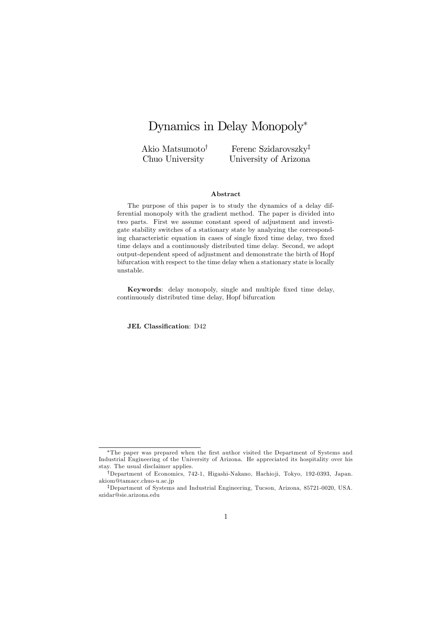## Dynamics in Delay Monopoly<sup>∗</sup>

Akio Matsumoto† Chuo University

Ferenc Szidarovszky‡ University of Arizona

#### Abstract

The purpose of this paper is to study the dynamics of a delay differential monopoly with the gradient method. The paper is divided into two parts. First we assume constant speed of adjustment and investigate stability switches of a stationary state by analyzing the corresponding characteristic equation in cases of single fixed time delay, two fixed time delays and a continuously distributed time delay. Second, we adopt output-dependent speed of adjustment and demonstrate the birth of Hopf bifurcation with respect to the time delay when a stationary state is locally unstable.

Keywords: delay monopoly, single and multiple fixed time delay, continuously distributed time delay, Hopf bifurcation

JEL Classification: D42

The paper was prepared when the first author visited the Department of Systems and Industrial Engineering of the University of Arizona. He appreciated its hospitality over his stay. The usual disclaimer applies.

<sup>†</sup>Department of Economics, 742-1, Higashi-Nakano, Hachio ji, Tokyo, 192-0393, Japan. akiom@tamacc.chuo-u.ac.jp

<sup>‡</sup>Department of Systems and Industrial Engineering, Tucson, Arizona, 85721-0020, USA. szidar@sie.arizona.edu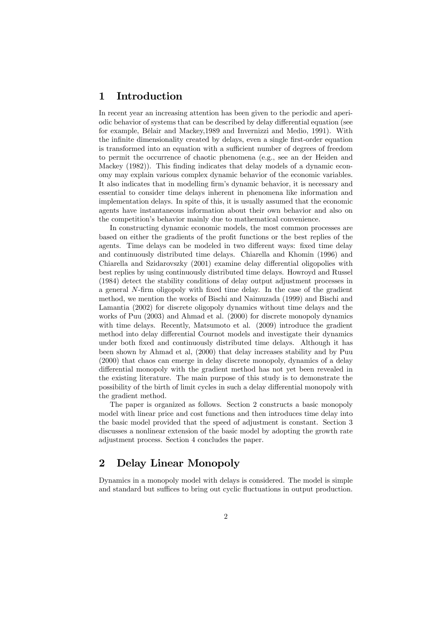## 1 Introduction

In recent year an increasing attention has been given to the periodic and aperiodic behavior of systems that can be described by delay differential equation (see for example, Bélair and Mackey,1989 and Invernizzi and Medio, 1991). With the infinite dimensionality created by delays, even a single first-order equation is transformed into an equation with a sufficient number of degrees of freedom to permit the occurrence of chaotic phenomena (e.g., see an der Heiden and Mackey (1982)). This finding indicates that delay models of a dynamic economy may explain various complex dynamic behavior of the economic variables. It also indicates that in modelling firm's dynamic behavior, it is necessary and essential to consider time delays inherent in phenomena like information and implementation delays. In spite of this, it is usually assumed that the economic agents have instantaneous information about their own behavior and also on the competition's behavior mainly due to mathematical convenience.

In constructing dynamic economic models, the most common processes are based on either the gradients of the profit functions or the best replies of the agents. Time delays can be modeled in two different ways: fixed time delay and continuously distributed time delays. Chiarella and Khomin (1996) and Chiarella and Szidarovszky (2001) examine delay differential oligopolies with best replies by using continuously distributed time delays. Howroyd and Russel (1984) detect the stability conditions of delay output adjustment processes in a general N-firm oligopoly with fixed time delay. In the case of the gradient method, we mention the works of Bischi and Naimuzada (1999) and Bischi and Lamantia (2002) for discrete oligopoly dynamics without time delays and the works of Puu (2003) and Ahmad et al. (2000) for discrete monopoly dynamics with time delays. Recently, Matsumoto et al.  $(2009)$  introduce the gradient method into delay differential Cournot models and investigate their dynamics under both fixed and continuously distributed time delays. Although it has been shown by Ahmad et al, (2000) that delay increases stability and by Puu (2000) that chaos can emerge in delay discrete monopoly, dynamics of a delay differential monopoly with the gradient method has not yet been revealed in the existing literature. The main purpose of this study is to demonstrate the possibility of the birth of limit cycles in such a delay differential monopoly with the gradient method.

The paper is organized as follows. Section 2 constructs a basic monopoly model with linear price and cost functions and then introduces time delay into the basic model provided that the speed of adjustment is constant. Section 3 discusses a nonlinear extension of the basic model by adopting the growth rate adjustment process. Section 4 concludes the paper.

## 2 Delay Linear Monopoly

Dynamics in a monopoly model with delays is considered. The model is simple and standard but suffices to bring out cyclic fluctuations in output production.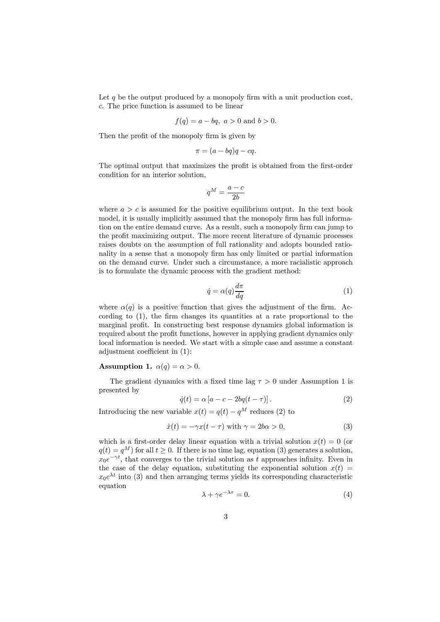Let q be the output produced by a monopoly firm with a unit production cost, c. The price function is assumed to be linear

$$
f(q) = a - bq, a > 0
$$
 and  $b > 0$ .

Then the profit of the monopoly firm is given by

$$
\pi = (a - bq)q - cq.
$$

The optimal output that maximizes the profit is obtained from the first-order condition for an interior solution,

$$
q^M = \frac{a-c}{2b}
$$

where  $a>c$  is assumed for the positive equilibrium output. In the text book model, it is usually implicitly assumed that the monopoly firm has full information on the entire demand curve. As a result, such a monopoly firm can jump to the profit maximizing output. The more recent literature of dynamic processes raises doubts on the assumption of full rationality and adopts bounded rationality in a sense that a monopoly firm has only limited or partial information on the demand curve. Under such a circumstance, a more racialistic approach is to formulate the dynamic process with the gradient method:

$$
\dot{q} = \alpha(q) \frac{d\pi}{dq} \tag{1}
$$

where  $\alpha(q)$  is a positive function that gives the adjustment of the firm. According to (1), the firm changes its quantities at a rate proportional to the marginal profit. In constructing best response dynamics global information is required about the profit functions, however in applying gradient dynamics only local information is needed. We start with a simple case and assume a constant adjustment coefficient in (1):

### Assumption 1.  $\alpha(q) = \alpha > 0$ .

The gradient dynamics with a fixed time lag  $\tau > 0$  under Assumption 1 is presented by

$$
\dot{q}(t) = \alpha \left[ a - c - 2bq(t - \tau) \right]. \tag{2}
$$

Introducing the new variable  $x(t) = q(t) - q^M$  reduces (2) to

$$
\dot{x}(t) = -\gamma x(t - \tau) \text{ with } \gamma = 2b\alpha > 0,
$$
\n(3)

which is a first-order delay linear equation with a trivial solution  $x(t)=0$  (or  $q(t) = q^M$  for all  $t \geq 0$ . If there is no time lag, equation (3) generates a solution,  $x_0e^{-\gamma t}$ , that converges to the trivial solution as t approaches infinity. Even in the case of the delay equation, substituting the exponential solution  $x(t)$  $x_0e^{\lambda t}$  into (3) and then arranging terms yields its corresponding characteristic equation

$$
\lambda + \gamma e^{-\lambda \tau} = 0. \tag{4}
$$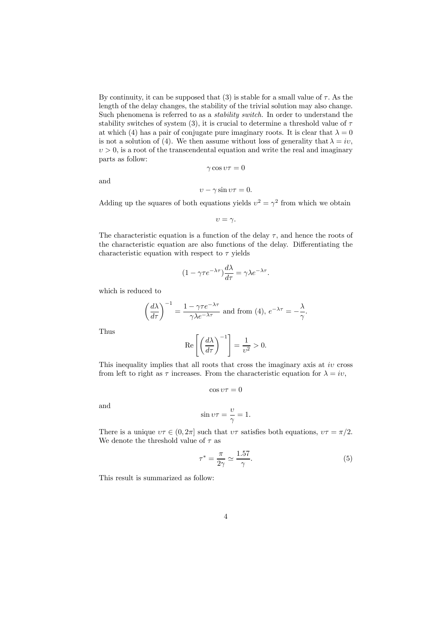By continuity, it can be supposed that  $(3)$  is stable for a small value of  $\tau$ . As the length of the delay changes, the stability of the trivial solution may also change. Such phenomena is referred to as a stability switch. In order to understand the stability switches of system (3), it is crucial to determine a threshold value of  $\tau$ at which (4) has a pair of conjugate pure imaginary roots. It is clear that  $\lambda = 0$ is not a solution of (4). We then assume without loss of generality that  $\lambda = iv$ ,  $v > 0$ , is a root of the transcendental equation and write the real and imaginary parts as follow:

$$
\gamma\cos\upsilon\tau=0
$$

and

$$
v - \gamma \sin v\tau = 0.
$$

Adding up the squares of both equations yields  $v^2 = \gamma^2$  from which we obtain

 $v = \gamma$ .

The characteristic equation is a function of the delay  $\tau$ , and hence the roots of the characteristic equation are also functions of the delay. Differentiating the characteristic equation with respect to  $\tau$  yields

$$
(1 - \gamma \tau e^{-\lambda \tau}) \frac{d\lambda}{d\tau} = \gamma \lambda e^{-\lambda \tau}.
$$

which is reduced to

$$
\left(\frac{d\lambda}{d\tau}\right)^{-1} = \frac{1 - \gamma\tau e^{-\lambda\tau}}{\gamma\lambda e^{-\lambda\tau}} \text{ and from (4), } e^{-\lambda\tau} = -\frac{\lambda}{\gamma}.
$$

Thus

$$
\operatorname{Re}\left[\left(\frac{d\lambda}{d\tau}\right)^{-1}\right] = \frac{1}{v^2} > 0.
$$

This inequality implies that all roots that cross the imaginary axis at  $iv$  cross from left to right as  $\tau$  increases. From the characteristic equation for  $\lambda = iv$ ,

$$
\cos\upsilon\tau=0
$$

and

$$
\sin \upsilon \tau = \frac{\upsilon}{\gamma} = 1.
$$

There is a unique  $v\tau \in (0, 2\pi]$  such that  $v\tau$  satisfies both equations,  $v\tau = \pi/2$ . We denote the threshold value of  $\tau$  as

$$
\tau^* = \frac{\pi}{2\gamma} \simeq \frac{1.57}{\gamma}.\tag{5}
$$

This result is summarized as follow: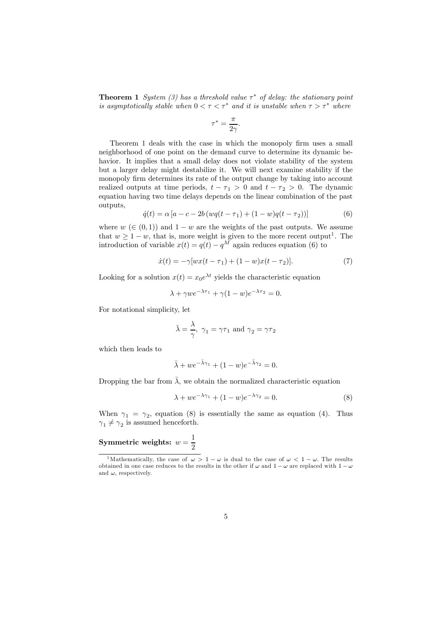**Theorem 1** System (3) has a threshold value  $\tau^*$  of delay: the stationary point is asymptotically stable when  $0 < \tau < \tau^*$  and it is unstable when  $\tau > \tau^*$  where

$$
\tau^* = \frac{\pi}{2\gamma}.
$$

Theorem 1 deals with the case in which the monopoly firm uses a small neighborhood of one point on the demand curve to determine its dynamic behavior. It implies that a small delay does not violate stability of the system but a larger delay might destabilize it. We will next examine stability if the monopoly firm determines its rate of the output change by taking into account realized outputs at time periods,  $t - \tau_1 > 0$  and  $t - \tau_2 > 0$ . The dynamic equation having two time delays depends on the linear combination of the past outputs,

$$
\dot{q}(t) = \alpha \left[ a - c - 2b \left( wq(t - \tau_1) + (1 - w)q(t - \tau_2) \right) \right]
$$
(6)

where  $w \ (\in (0,1))$  and  $1 - w$  are the weights of the past outputs. We assume that  $w \ge 1 - w$ , that is, more weight is given to the more recent output<sup>1</sup>. The introduction of variable  $x(t) = q(t) - q^M$  again reduces equation (6) to

$$
\dot{x}(t) = -\gamma [wx(t - \tau_1) + (1 - w)x(t - \tau_2)].
$$
\n(7)

Looking for a solution  $x(t) = x_0 e^{\lambda t}$  yields the characteristic equation

$$
\lambda + \gamma w e^{-\lambda \tau_1} + \gamma (1 - w) e^{-\lambda \tau_2} = 0.
$$

For notational simplicity, let

$$
\bar{\lambda} = \frac{\lambda}{\gamma}, \ \gamma_1 = \gamma \tau_1 \text{ and } \gamma_2 = \gamma \tau_2
$$

which then leads to

$$
\bar{\lambda} + we^{-\bar{\lambda}\gamma_1} + (1 - w)e^{-\bar{\lambda}\gamma_2} = 0.
$$

Dropping the bar from  $\bar{\lambda}$ , we obtain the normalized characteristic equation

$$
\lambda + we^{-\lambda \gamma_1} + (1 - w)e^{-\lambda \gamma_2} = 0.
$$
 (8)

When  $\gamma_1 = \gamma_2$ , equation (8) is essentially the same as equation (4). Thus  $\gamma_1 \neq \gamma_2$  is assumed henceforth.

# Symmetric weights:  $w = \frac{1}{2}$

<sup>&</sup>lt;sup>1</sup>Mathematically, the case of  $\omega > 1 - \omega$  is dual to the case of  $\omega < 1 - \omega$ . The results obtained in one case reduces to the results in the other if  $\omega$  and  $1 - \omega$  are replaced with  $1 - \omega$ and  $\omega$ , respectively.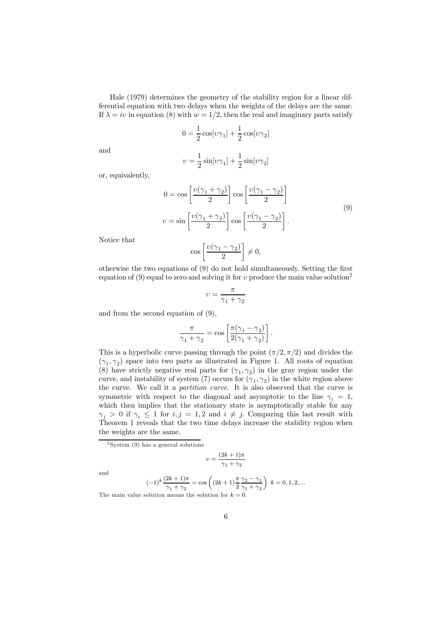Hale (1979) determines the geometry of the stability region for a linear differential equation with two delays when the weights of the delays are the same. If  $\lambda = iv$  in equation (8) with  $w = 1/2$ , then the real and imaginary parts satisfy

$$
0 = \frac{1}{2}\cos[\upsilon\gamma_1] + \frac{1}{2}\cos[\upsilon\gamma_2]
$$

and

$$
\upsilon=\frac{1}{2}\sin[\upsilon\gamma_1]+\frac{1}{2}\sin[\upsilon\gamma_2]
$$

or, equivalently,

$$
0 = \cos\left[\frac{v(\gamma_1 + \gamma_2)}{2}\right] \cos\left[\frac{v(\gamma_1 - \gamma_2)}{2}\right]
$$
  

$$
v = \sin\left[\frac{v(\gamma_1 + \gamma_2)}{2}\right] \cos\left[\frac{v(\gamma_1 - \gamma_2)}{2}\right].
$$
 (9)

Notice that

$$
\cos\left[\frac{\upsilon(\gamma_1-\gamma_2)}{2}\right] \neq 0,
$$

otherwise the two equations of (9) do not hold simultaneously. Setting the first equation of (9) equal to zero and solving it for  $v$  produce the main value solution<sup>2</sup>

$$
v = \frac{\pi}{\gamma_1 + \gamma_2}
$$

and from the second equation of (9),

$$
\frac{\pi}{\gamma_1+\gamma_2}=\cos\left[\frac{\pi(\gamma_1-\gamma_2)}{2(\gamma_1+\gamma_2)}\right].
$$

This is a hyperbolic curve passing through the point  $(\pi/2, \pi/2)$  and divides the  $(\gamma_1, \gamma_2)$  space into two parts as illustrated in Figure 1. All roots of equation (8) have strictly negative real parts for  $(\gamma_1, \gamma_2)$  in the gray region under the curve, and instability of system (7) occurs for  $(\gamma_1, \gamma_2)$  in the white region above the curve. We call it a partition curve. It is also observed that the curve is symmetric with respect to the diagonal and asymptotic to the line  $\gamma_i = 1$ , which then implies that the stationary state is asymptotically stable for any  $\gamma_i > 0$  if  $\gamma_i \leq 1$  for  $i, j = 1, 2$  and  $i \neq j$ . Comparing this last result with Theorem 1 reveals that the two time delays increase the stability region when the weights are the same.

$$
\upsilon=\frac{(2k+1)\pi}{\gamma_1+\gamma_2}
$$

and

$$
(-1)^k \frac{(2k+1)\pi}{\gamma_1 + \gamma_2} = \cos\left((2k+1)\frac{\pi}{2}\frac{\gamma_2 - \gamma_1}{\gamma_1 + \gamma_2}\right) k = 0, 1, 2, ...
$$

The main value solution means the solution for  $k = 0$ .

 $2$ System  $(9)$  has a general solutions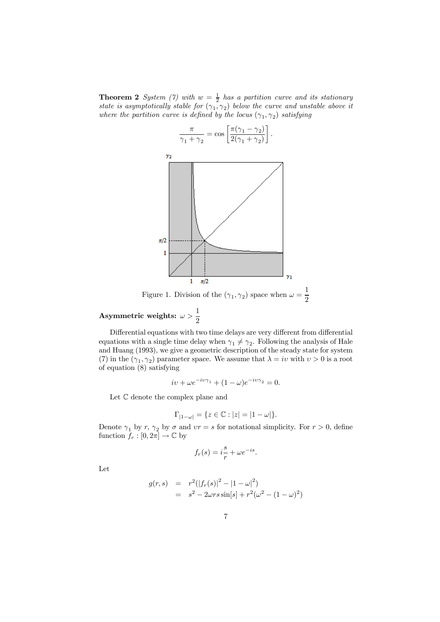**Theorem 2** System (7) with  $w = \frac{1}{2}$  has a partition curve and its stationary state is asymptotically stable for  $(\gamma_1, \gamma_2)$  below the curve and unstable above it where the partition curve is defined by the locus  $(\gamma_1, \gamma_2)$  satisfying



Figure 1. Division of the  $(\gamma_1, \gamma_2)$  space when  $\omega = \frac{1}{2}$ 

#### Asymmetric weights:  $\omega > \frac{1}{2}$ 2

Differential equations with two time delays are very different from differential equations with a single time delay when  $\gamma_1 \neq \gamma_2$ . Following the analysis of Hale and Huang (1993), we give a geometric description of the steady state for system (7) in the  $(\gamma_1, \gamma_2)$  parameter space. We assume that  $\lambda = iv$  with  $v > 0$  is a root of equation (8) satisfying

$$
iv + \omega e^{-iv\gamma_1} + (1 - \omega)e^{-iv\gamma_2} = 0.
$$

Let C denote the complex plane and

$$
\Gamma_{|1-\omega|}=\{z\in\mathbb{C}:|z|=|1-\omega|\}.
$$

Denote  $\gamma_1$  by  $r, \gamma_2$  by  $\sigma$  and  $vr = s$  for notational simplicity. For  $r > 0$ , define function  $f_r : [0, 2\pi] \to \mathbb{C}$  by

$$
f_r(s) = i\frac{s}{r} + \omega e^{-is}.
$$

Let

$$
g(r,s) = r2(|fr(s)|2 - |1 - \omega|2)
$$
  
= s<sup>2</sup> - 2\omega rs sin[s] + r<sup>2</sup>(\omega<sup>2</sup> - (1 - \omega)<sup>2</sup>)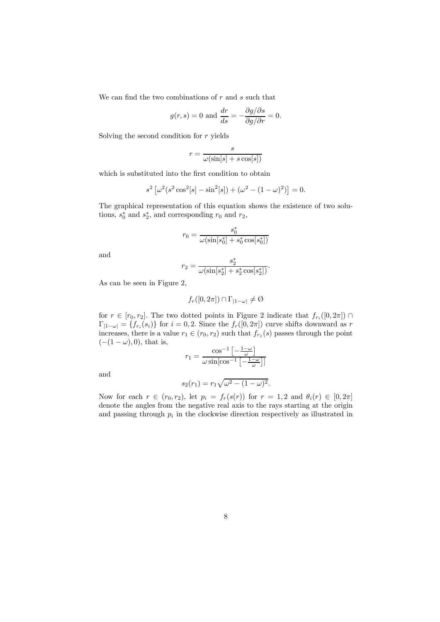We can find the two combinations of  $r$  and  $s$  such that

$$
g(r, s) = 0
$$
 and  $\frac{dr}{ds} = -\frac{\partial g/\partial s}{\partial g/\partial r} = 0.$ 

Solving the second condition for  $r$  yields

$$
r = \frac{s}{\omega(\sin[s] + s\cos[s])}
$$

which is substituted into the first condition to obtain

$$
s^{2} [\omega^{2} (s^{2} \cos^{2}[s] - \sin^{2}[s]) + (\omega^{2} - (1 - \omega)^{2})] = 0.
$$

The graphical representation of this equation shows the existence of two solutions,  $s_0^*$  and  $s_2^*$ , and corresponding  $r_0$  and  $r_2$ ,

$$
r_0 = \frac{s_0^*}{\omega(\sin[s_0^*] + s_0^* \cos[s_0^*])}
$$

and

$$
r_2 = \frac{s_2^*}{\omega(\sin[s_2^*] + s_2^* \cos[s_2^*])}.
$$

As can be seen in Figure 2,

$$
f_r([0,2\pi]) \cap \Gamma_{|1-\omega|} \neq \emptyset
$$

for  $r \in [r_0, r_2]$ . The two dotted points in Figure 2 indicate that  $f_{r_i}([0, 2\pi]) \cap$  $\Gamma_{|1-\omega|} = \{f_{r_i}(s_i)\}\$ for  $i=0,2$ . Since the  $f_r([0,2\pi])$  curve shifts downward as r increases, there is a value  $r_1 \in (r_0, r_2)$  such that  $f_{r_1}(s)$  passes through the point  $(-(1 - \omega), 0)$ , that is,

$$
r_1 = \frac{\cos^{-1}\left[-\frac{1-\omega}{\omega}\right]}{\omega \sin[\cos^{-1}\left[-\frac{1-\omega}{\omega}\right]]}
$$

and

$$
s_2(r_1) = r_1 \sqrt{\omega^2 - (1 - \omega)^2}.
$$

Now for each  $r \in (r_0, r_2)$ , let  $p_i = f_r(s(r))$  for  $r = 1, 2$  and  $\theta_i(r) \in [0, 2\pi]$ denote the angles from the negative real axis to the rays starting at the origin and passing through  $p_i$  in the clockwise direction respectively as illustrated in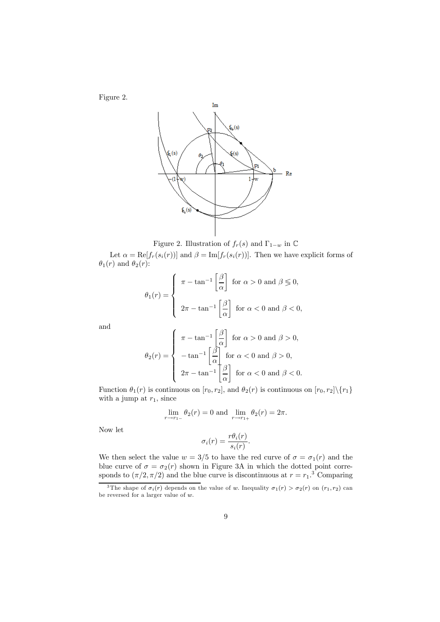



Figure 2. Illustration of  $f_r(s)$  and  $\Gamma_{1-w}$  in  $\mathbb C$ 

Let  $\alpha = \text{Re}[f_r(s_i(r))]$  and  $\beta = \text{Im}[f_r(s_i(r))]$ . Then we have explicit forms of  $\theta_1(r)$  and  $\theta_2(r)$ :

$$
\theta_1(r) = \begin{cases} \pi - \tan^{-1} \left[ \frac{\beta}{\alpha} \right] \text{ for } \alpha > 0 \text{ and } \beta \leq 0, \\ 2\pi - \tan^{-1} \left[ \frac{\beta}{\alpha} \right] \text{ for } \alpha < 0 \text{ and } \beta < 0, \end{cases}
$$

and

$$
\theta_2(r) = \begin{cases}\n\pi - \tan^{-1}\left[\frac{\beta}{\alpha}\right] & \text{for } \alpha > 0 \text{ and } \beta > 0, \\
-\tan^{-1}\left[\frac{\beta}{\alpha}\right] & \text{for } \alpha < 0 \text{ and } \beta > 0, \\
2\pi - \tan^{-1}\left[\frac{\beta}{\alpha}\right] & \text{for } \alpha < 0 \text{ and } \beta < 0.\n\end{cases}
$$

Function  $\theta_1(r)$  is continuous on  $[r_0, r_2]$ , and  $\theta_2(r)$  is continuous on  $[r_0, r_2] \setminus \{r_1\}$ with a jump at  $r_1$ , since

$$
\lim_{r \to r_{1-}} \theta_2(r) = 0 \text{ and } \lim_{r \to r_{1+}} \theta_2(r) = 2\pi.
$$

Now let

$$
\sigma_i(r) = \frac{r\theta_i(r)}{s_i(r)}.
$$

We then select the value  $w = 3/5$  to have the red curve of  $\sigma = \sigma_1(r)$  and the blue curve of  $\sigma = \sigma_2(r)$  shown in Figure 3A in which the dotted point corresponds to  $(\pi/2, \pi/2)$  and the blue curve is discontinuous at  $r = r_1$ <sup>3</sup>. Comparing

<sup>&</sup>lt;sup>3</sup>The shape of  $\sigma_i(r)$  depends on the value of w. Inequality  $\sigma_1(r) > \sigma_2(r)$  on  $(r_1, r_2)$  can be reversed for a larger value of  $w$ .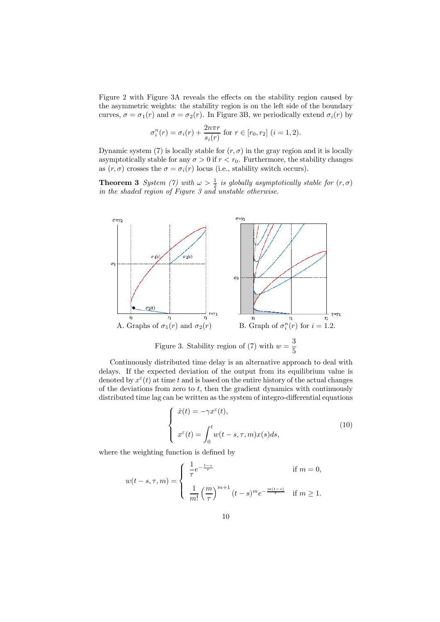Figure 2 with Figure 3A reveals the effects on the stability region caused by the asymmetric weights: the stability region is on the left side of the boundary curves,  $\sigma = \sigma_1(r)$  and  $\sigma = \sigma_2(r)$ . In Figure 3B, we periodically extend  $\sigma_i(r)$  by

$$
\sigma_i^n(r) = \sigma_i(r) + \frac{2n\pi r}{s_i(r)} \text{ for } r \in [r_0, r_2] \ (i = 1, 2).
$$

Dynamic system (7) is locally stable for  $(r, \sigma)$  in the gray region and it is locally asymptotically stable for any  $\sigma > 0$  if  $r < r_0$ . Furthermore, the stability changes as  $(r, \sigma)$  crosses the  $\sigma = \sigma_i(r)$  locus (i.e., stability switch occurs).

**Theorem 3** System (7) with  $\omega > \frac{1}{2}$  is globally asymptotically stable for  $(r, \sigma)$ in the shaded region of Figure 3 and unstable otherwise.



Continuously distributed time delay is an alternative approach to deal with delays. If the expected deviation of the output from its equilibrium value is denoted by  $x^{\varepsilon}(t)$  at time t and is based on the entire history of the actual changes of the deviations from zero to  $t$ , then the gradient dynamics with continuously distributed time lag can be written as the system of integro-differential equations

$$
\begin{cases}\n\dot{x}(t) = -\gamma x^{\varepsilon}(t), \\
x^{\varepsilon}(t) = \int_0^t w(t - s, \tau, m) x(s) ds,\n\end{cases}
$$
\n(10)

where the weighting function is defined by

$$
w(t-s,\tau,m) = \begin{cases} \frac{1}{\tau} e^{-\frac{t-s}{\tau}} & \text{if } m = 0, \\ \frac{1}{m!} \left(\frac{m}{\tau}\right)^{m+1} (t-s)^m e^{-\frac{m(t-s)}{\tau}} & \text{if } m \ge 1. \end{cases}
$$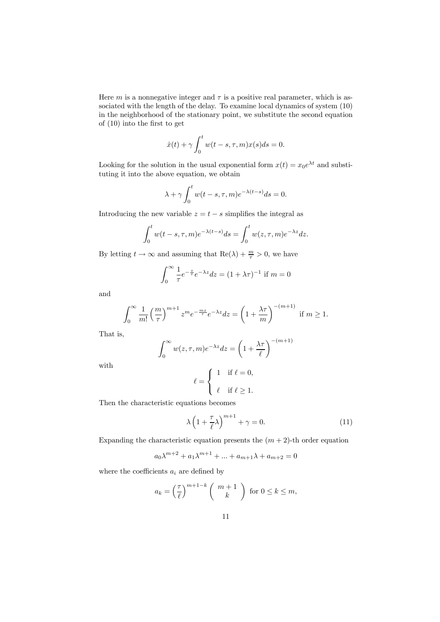Here m is a nonnegative integer and  $\tau$  is a positive real parameter, which is associated with the length of the delay. To examine local dynamics of system (10) in the neighborhood of the stationary point, we substitute the second equation of (10) into the first to get

$$
\dot{x}(t) + \gamma \int_0^t w(t - s, \tau, m)x(s)ds = 0.
$$

Looking for the solution in the usual exponential form  $x(t) = x_0 e^{\lambda t}$  and substituting it into the above equation, we obtain

$$
\lambda + \gamma \int_0^t w(t - s, \tau, m) e^{-\lambda (t - s)} ds = 0.
$$

Introducing the new variable  $z = t - s$  simplifies the integral as

$$
\int_0^t w(t-s,\tau,m)e^{-\lambda(t-s)}ds = \int_0^t w(z,\tau,m)e^{-\lambda z}dz.
$$

By letting  $t \to \infty$  and assuming that  $\text{Re}(\lambda) + \frac{m}{\tau} > 0$ , we have

$$
\int_0^\infty \frac{1}{\tau} e^{-\frac{z}{\tau}} e^{-\lambda z} dz = (1 + \lambda \tau)^{-1}
$$
 if  $m = 0$ 

and

$$
\int_0^\infty \frac{1}{m!} \left(\frac{m}{\tau}\right)^{m+1} z^m e^{-\frac{mz}{\tau}} e^{-\lambda z} dz = \left(1 + \frac{\lambda \tau}{m}\right)^{-(m+1)} \text{ if } m \ge 1.
$$

That is,

$$
\int_0^\infty w(z,\tau,m)e^{-\lambda z}dz = \left(1 + \frac{\lambda \tau}{\ell}\right)^{-(m+1)}
$$

with

$$
\ell = \begin{cases} 1 & \text{if } \ell = 0, \\ \ell & \text{if } \ell \ge 1. \end{cases}
$$

Then the characteristic equations becomes

$$
\lambda \left(1 + \frac{\tau}{\ell} \lambda\right)^{m+1} + \gamma = 0. \tag{11}
$$

Expanding the characteristic equation presents the  $(m + 2)$ -th order equation

$$
a_0 \lambda^{m+2} + a_1 \lambda^{m+1} + \dots + a_{m+1} \lambda + a_{m+2} = 0
$$

where the coefficients  $a_i$  are defined by

$$
a_k = \left(\frac{\tau}{\ell}\right)^{m+1-k} \left(\begin{array}{c} m+1\\k \end{array}\right) \text{ for } 0 \le k \le m,
$$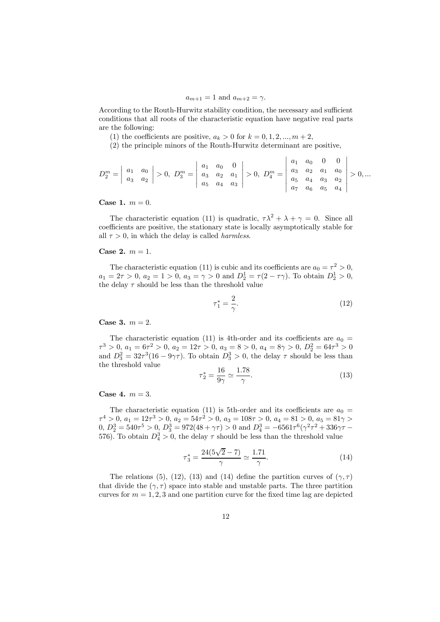$a_{m+1} = 1$  and  $a_{m+2} = \gamma$ .

According to the Routh-Hurwitz stability condition, the necessary and sufficient conditions that all roots of the characteristic equation have negative real parts are the following:

(1) the coefficients are positive,  $a_k > 0$  for  $k = 0, 1, 2, ..., m + 2$ ,

(2) the principle minors of the Routh-Hurwitz determinant are positive,

$$
D_2^m = \begin{vmatrix} a_1 & a_0 \\ a_3 & a_2 \end{vmatrix} > 0, \ D_3^m = \begin{vmatrix} a_1 & a_0 & 0 \\ a_3 & a_2 & a_1 \\ a_5 & a_4 & a_3 \end{vmatrix} > 0, \ D_4^m = \begin{vmatrix} a_1 & a_0 & 0 & 0 \\ a_3 & a_2 & a_1 & a_0 \\ a_5 & a_4 & a_3 & a_2 \\ a_7 & a_6 & a_5 & a_4 \end{vmatrix} > 0, \dots
$$

#### **Case 1.**  $m = 0$ .

The characteristic equation (11) is quadratic,  $\tau \lambda^2 + \lambda + \gamma = 0$ . Since all coefficients are positive, the stationary state is locally asymptotically stable for all  $\tau > 0$ , in which the delay is called *harmless*.

#### **Case 2.**  $m = 1$ .

The characteristic equation (11) is cubic and its coefficients are  $a_0 = \tau^2 > 0$ ,  $a_1 = 2\tau > 0, a_2 = 1 > 0, a_3 = \gamma > 0$  and  $D_2^1 = \tau(2 - \tau\gamma)$ . To obtain  $D_2^1 > 0$ , the delay  $\tau$  should be less than the threshold value

$$
\tau_1^* = \frac{2}{\gamma}.\tag{12}
$$

**Case 3.**  $m = 2$ .

The characteristic equation (11) is 4th-order and its coefficients are  $a_0 =$  $\tau^3 > 0$ ,  $a_1 = 6\tau^2 > 0$ ,  $a_2 = 12\tau > 0$ ,  $a_3 = 8 > 0$ ,  $a_4 = 8\gamma > 0$ ,  $D_2^2 = 64\tau^3 > 0$ and  $D_3^2 = 32\tau^3(16 - 9\gamma\tau)$ . To obtain  $D_3^3 > 0$ , the delay  $\tau$  should be less than the threshold value  $90 - 1.78$ 

$$
\tau_2^* = \frac{16}{9\gamma} \simeq \frac{1.78}{\gamma}.\tag{13}
$$

#### Case 4.  $m = 3$ .

The characteristic equation (11) is 5th-order and its coefficients are  $a_0 =$  $\tau^4 > 0$ ,  $a_1 = 12\tau^3 > 0$ ,  $a_2 = 54\tau^2 > 0$ ,  $a_3 = 108\tau > 0$ ,  $a_4 = 81 > 0$ ,  $a_5 = 81\gamma >$  $(0, D_2^3 = 540\tau^5 > 0, D_3^3 = 972(48 + \gamma\tau) > 0$  and  $D_4^3 = -6561\tau^6(\gamma^2\tau^2 + 336\gamma\tau -$ 576). To obtain  $D_4^3 > 0$ , the delay  $\tau$  should be less than the threshold value

$$
\tau_3^* = \frac{24(5\sqrt{2} - 7)}{\gamma} \simeq \frac{1.71}{\gamma}.\tag{14}
$$

The relations (5), (12), (13) and (14) define the partition curves of  $(\gamma, \tau)$ that divide the  $(\gamma, \tau)$  space into stable and unstable parts. The three partition curves for  $m = 1, 2, 3$  and one partition curve for the fixed time lag are depicted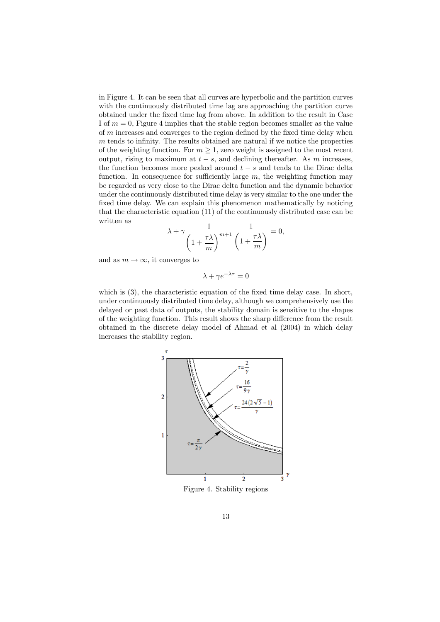in Figure 4. It can be seen that all curves are hyperbolic and the partition curves with the continuously distributed time lag are approaching the partition curve obtained under the fixed time lag from above. In addition to the result in Case I of  $m = 0$ , Figure 4 implies that the stable region becomes smaller as the value of m increases and converges to the region defined by the fixed time delay when  $m$  tends to infinity. The results obtained are natural if we notice the properties of the weighting function. For  $m \geq 1$ , zero weight is assigned to the most recent output, rising to maximum at  $t - s$ , and declining thereafter. As m increases, the function becomes more peaked around  $t - s$  and tends to the Dirac delta function. In consequence for sufficiently large  $m$ , the weighting function may be regarded as very close to the Dirac delta function and the dynamic behavior under the continuously distributed time delay is very similar to the one under the fixed time delay. We can explain this phenomenon mathematically by noticing that the characteristic equation (11) of the continuously distributed case can be written as

$$
\lambda + \gamma \frac{1}{\left(1 + \frac{\tau \lambda}{m}\right)^{m+1}} \frac{1}{\left(1 + \frac{\tau \lambda}{m}\right)} = 0,
$$

and as  $m \to \infty$ , it converges to

$$
\lambda + \gamma e^{-\lambda \tau} = 0
$$

which is  $(3)$ , the characteristic equation of the fixed time delay case. In short, under continuously distributed time delay, although we comprehensively use the delayed or past data of outputs, the stability domain is sensitive to the shapes of the weighting function. This result shows the sharp difference from the result obtained in the discrete delay model of Ahmad et al (2004) in which delay increases the stability region.



Figure 4. Stability regions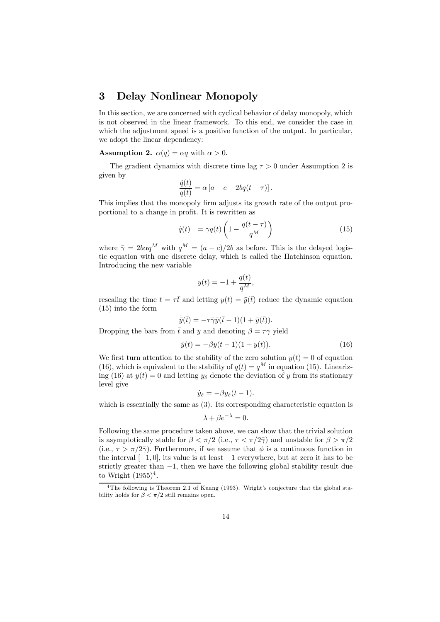## 3 Delay Nonlinear Monopoly

In this section, we are concerned with cyclical behavior of delay monopoly, which is not observed in the linear framework. To this end, we consider the case in which the adjustment speed is a positive function of the output. In particular, we adopt the linear dependency:

#### **Assumption 2.**  $\alpha(q) = \alpha q$  with  $\alpha > 0$ .

The gradient dynamics with discrete time lag  $\tau > 0$  under Assumption 2 is given by

$$
\frac{\dot{q}(t)}{q(t)} = \alpha \left[ a - c - 2bq(t - \tau) \right].
$$

This implies that the monopoly firm adjusts its growth rate of the output proportional to a change in profit. It is rewritten as

$$
\dot{q}(t) = \bar{\gamma}q(t)\left(1 - \frac{q(t-\tau)}{q^M}\right) \tag{15}
$$

where  $\bar{\gamma} = 2b\alpha q^M$  with  $q^M = (a - c)/2b$  as before. This is the delayed logistic equation with one discrete delay, which is called the Hatchinson equation. Introducing the new variable

$$
y(t) = -1 + \frac{q(t)}{q^M},
$$

rescaling the time  $t = \tau \bar{t}$  and letting  $y(t) = \bar{y}(\bar{t})$  reduce the dynamic equation (15) into the form

$$
\dot{\bar{y}}(\bar{t}) = -\tau \bar{\gamma} \bar{y}(\bar{t}-1)(1+\bar{y}(\bar{t})).
$$

Dropping the bars from  $\bar{t}$  and  $\bar{y}$  and denoting  $\beta = \tau \bar{\gamma}$  yield

$$
\dot{y}(t) = -\beta y(t-1)(1+y(t)).\tag{16}
$$

We first turn attention to the stability of the zero solution  $y(t)=0$  of equation (16), which is equivalent to the stability of  $q(t) = q^M$  in equation (15). Linearizing (16) at  $y(t)=0$  and letting  $y_\delta$  denote the deviation of y from its stationary level give

$$
\dot{y}_{\delta}=-\beta y_{\delta}(t-1).
$$

which is essentially the same as  $(3)$ . Its corresponding characteristic equation is

$$
\lambda + \beta e^{-\lambda} = 0.
$$

Following the same procedure taken above, we can show that the trivial solution is asymptotically stable for  $\beta < \pi/2$  (i.e.,  $\tau < \pi/2\overline{\gamma}$ ) and unstable for  $\beta > \pi/2$ (i.e.,  $\tau > \pi/2\bar{\gamma}$ ). Furthermore, if we assume that  $\phi$  is a continuous function in the interval  $[-1, 0]$ , its value is at least  $-1$  everywhere, but at zero it has to be strictly greater than  $-1$ , then we have the following global stability result due to Wright  $(1955)^4$ .

<sup>4</sup>The following is Theorem 2.1 of Kuang (1993). Wright's conjecture that the global stability holds for  $\beta < \pi/2$  still remains open.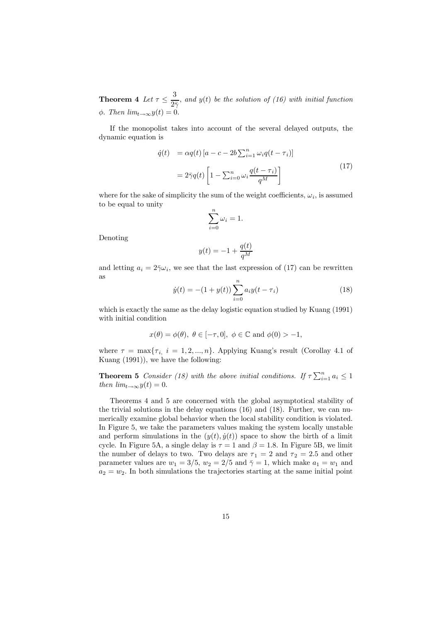**Theorem 4** Let  $\tau \leq \frac{3}{2\overline{\gamma}}$ , and  $y(t)$  be the solution of (16) with initial function  $\phi$ . Then  $\lim_{t\to\infty}y(t)=0$ .

If the monopolist takes into account of the several delayed outputs, the dynamic equation is

$$
\dot{q}(t) = \alpha q(t) \left[ a - c - 2b \sum_{i=1}^{n} \omega_i q(t - \tau_i) \right]
$$

$$
= 2\bar{\gamma} q(t) \left[ 1 - \sum_{i=0}^{n} \omega_i \frac{q(t - \tau_i)}{q^M} \right]
$$
(17)

where for the sake of simplicity the sum of the weight coefficients,  $\omega_i$ , is assumed to be equal to unity

$$
\sum_{i=0}^{n} \omega_i = 1.
$$

Denoting

$$
y(t) = -1 + \frac{q(t)}{q^M}
$$

and letting  $a_i = 2\bar{\gamma}\omega_i$ , we see that the last expression of (17) can be rewritten as

$$
\dot{y}(t) = -(1 + y(t)) \sum_{i=0}^{n} a_i y(t - \tau_i)
$$
\n(18)

which is exactly the same as the delay logistic equation studied by Kuang (1991) with initial condition

$$
x(\theta) = \phi(\theta), \ \theta \in [-\tau, 0], \ \phi \in \mathbb{C} \text{ and } \phi(0) > -1,
$$

where  $\tau = \max{\lbrace \tau_{i}, i = 1, 2, ..., n \rbrace}$ . Applying Kuang's result (Corollay 4.1 of Kuang (1991)), we have the following:

**Theorem 5** Consider (18) with the above initial conditions. If  $\tau \sum_{i=1}^{n} a_i \leq 1$ then  $\lim_{t\to\infty}y(t)=0$ .

Theorems 4 and 5 are concerned with the global asymptotical stability of the trivial solutions in the delay equations (16) and (18). Further, we can numerically examine global behavior when the local stability condition is violated. In Figure 5, we take the parameters values making the system locally unstable and perform simulations in the  $(y(t), \dot{y}(t))$  space to show the birth of a limit cycle. In Figure 5A, a single delay is  $\tau = 1$  and  $\beta = 1.8$ . In Figure 5B, we limit the number of delays to two. Two delays are  $\tau_1 = 2$  and  $\tau_2 = 2.5$  and other parameter values are  $w_1 = 3/5$ ,  $w_2 = 2/5$  and  $\overline{\gamma} = 1$ , which make  $a_1 = w_1$  and  $a_2 = w_2$ . In both simulations the trajectories starting at the same initial point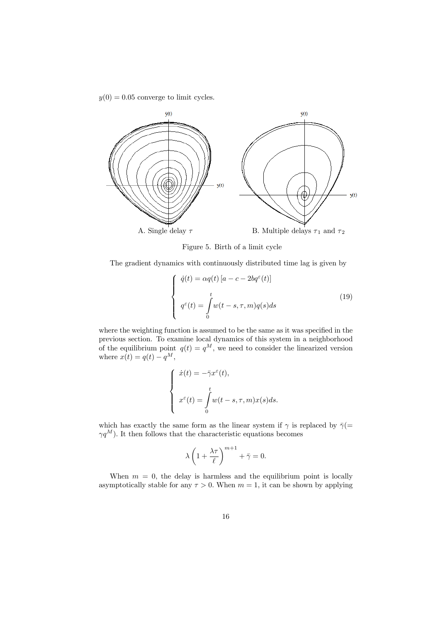$y(0) = 0.05$  converge to limit cycles.



Figure 5. Birth of a limit cycle

The gradient dynamics with continuously distributed time lag is given by

$$
\begin{cases}\n\dot{q}(t) = \alpha q(t) \left[ a - c - 2b q^{\varepsilon}(t) \right] \\
\frac{t}{q^{\varepsilon}(t)} = \int_{0}^{t} w(t - s, \tau, m) q(s) ds\n\end{cases}
$$
\n(19)

where the weighting function is assumed to be the same as it was specified in the previous section. To examine local dynamics of this system in a neighborhood of the equilibrium point  $q(t) = q^M$ , we need to consider the linearized version where  $x(t) = q(t) - q^M$ ,

$$
\begin{cases}\n\dot{x}(t) = -\bar{\gamma}x^{\varepsilon}(t), \\
\dot{x} \in (t) = \int_{0}^{t} w(t - s, \tau, m)x(s)ds.\n\end{cases}
$$

which has exactly the same form as the linear system if  $\gamma$  is replaced by  $\bar{\gamma}$ (=  $\gamma q^M$ ). It then follows that the characteristic equations becomes

$$
\lambda \left( 1 + \frac{\lambda \tau}{\ell} \right)^{m+1} + \bar{\gamma} = 0.
$$

When  $m = 0$ , the delay is harmless and the equilibrium point is locally asymptotically stable for any  $\tau > 0$ . When  $m = 1$ , it can be shown by applying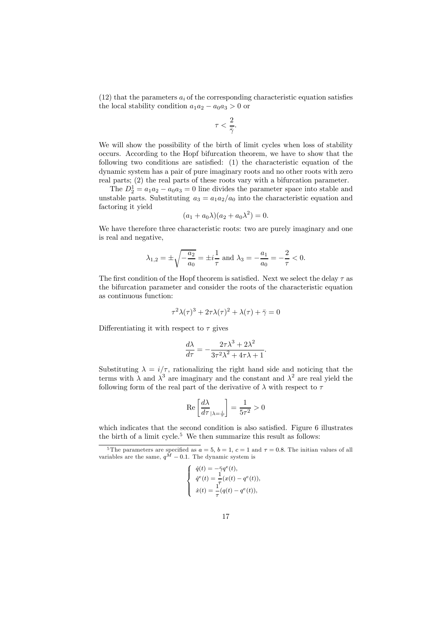$(12)$  that the parameters  $a_i$  of the corresponding characteristic equation satisfies the local stability condition  $a_1a_2 - a_0a_3 > 0$  or

$$
\tau < \frac{2}{\bar{\gamma}}.
$$

We will show the possibility of the birth of limit cycles when loss of stability occurs. According to the Hopf bifurcation theorem, we have to show that the following two conditions are satisfied: (1) the characteristic equation of the dynamic system has a pair of pure imaginary roots and no other roots with zero real parts; (2) the real parts of these roots vary with a bifurcation parameter.

The  $D_2^1 = a_1 a_2 - a_0 a_3 = 0$  line divides the parameter space into stable and unstable parts. Substituting  $a_3 = a_1 a_2/a_0$  into the characteristic equation and factoring it yield

$$
(a_1 + a_0 \lambda)(a_2 + a_0 \lambda^2) = 0.
$$

We have therefore three characteristic roots: two are purely imaginary and one is real and negative,

$$
\lambda_{1,2} = \pm \sqrt{-\frac{a_2}{a_0}} = \pm i \frac{1}{\tau}
$$
 and  $\lambda_3 = -\frac{a_1}{a_0} = -\frac{2}{\tau} < 0$ .

The first condition of the Hopf theorem is satisfied. Next we select the delay  $\tau$  as the bifurcation parameter and consider the roots of the characteristic equation as continuous function:

$$
\tau^2 \lambda(\tau)^3 + 2\tau \lambda(\tau)^2 + \lambda(\tau) + \bar{\gamma} = 0
$$

Differentiating it with respect to  $\tau$  gives

$$
\frac{d\lambda}{d\tau} = -\frac{2\tau\lambda^3 + 2\lambda^2}{3\tau^2\lambda^2 + 4\tau\lambda + 1}.
$$

Substituting  $\lambda = i/\tau$ , rationalizing the right hand side and noticing that the terms with  $\lambda$  and  $\lambda^3$  are imaginary and the constant and  $\lambda^2$  are real yield the following form of the real part of the derivative of  $\lambda$  with respect to  $\tau$ 

$$
\text{Re} \left[ \frac{d \lambda}{d \tau}_{|\lambda = \frac{i}{\tau}} \right] = \frac{1}{5 \tau^2} > 0
$$

which indicates that the second condition is also satisfied. Figure 6 illustrates the birth of a limit cycle.<sup>5</sup> We then summarize this result as follows:

$$
\label{eq:q} \left\{ \begin{array}{l} \dot{q}(t)=-\bar{\gamma}q^e(t),\\ \dot{q}^e(t)=\frac{1}{\tau}(x(t)-q^e(t)),\\ \dot{x}(t)=\frac{1}{\tau}(q(t)-q^e(t)), \end{array} \right.
$$

<sup>&</sup>lt;sup>5</sup>The parameters are specified as  $a = 5$ ,  $b = 1$ ,  $c = 1$  and  $\tau = 0.8$ . The initian values of all variables are the same,  $q^M - 0.1$ . The dynamic system is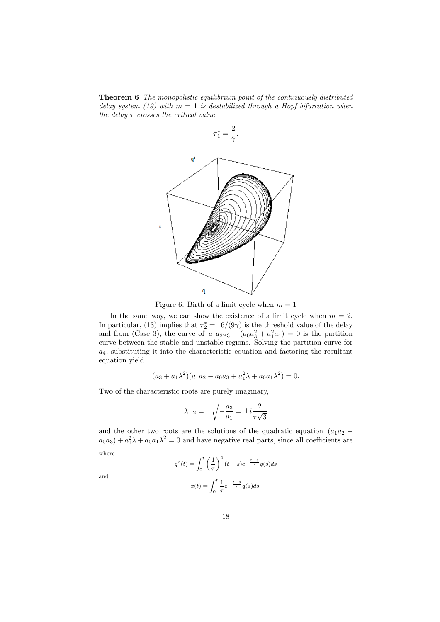Theorem 6 The monopolistic equilibrium point of the continuously distributed delay system (19) with  $m = 1$  is destabilized through a Hopf bifurcation when the delay  $\tau$  crosses the critical value



Figure 6. Birth of a limit cycle when  $m = 1$ 

In the same way, we can show the existence of a limit cycle when  $m = 2$ . In particular, (13) implies that  $\bar{\tau}_2^* = 16/(9\bar{\gamma})$  is the threshold value of the delay and from (Case 3), the curve of  $a_1a_2a_3 - (a_0a_3^2 + a_1^2a_4) = 0$  is the partition curve between the stable and unstable regions. Solving the partition curve for  $a_4$ , substituting it into the characteristic equation and factoring the resultant equation yield

$$
(a_3 + a_1\lambda^2)(a_1a_2 - a_0a_3 + a_1^2\lambda + a_0a_1\lambda^2) = 0.
$$

Two of the characteristic roots are purely imaginary,

$$
\lambda_{1,2} = \pm \sqrt{-\frac{a_3}{a_1}} = \pm i \frac{2}{\tau \sqrt{3}}
$$

and the other two roots are the solutions of the quadratic equation  $(a_1a_2$  $a_0a_3$ ) +  $a_1^2\lambda + a_0a_1\lambda^2 = 0$  and have negative real parts, since all coefficients are

where

$$
q^{e}(t) = \int_{0}^{t} \left(\frac{1}{\tau}\right)^{2} (t-s)e^{-\frac{t-s}{\tau}} q(s)ds
$$

$$
x(t) = \int_{0}^{t} \frac{1}{\tau} e^{-\frac{t-s}{\tau}} q(s)ds.
$$

and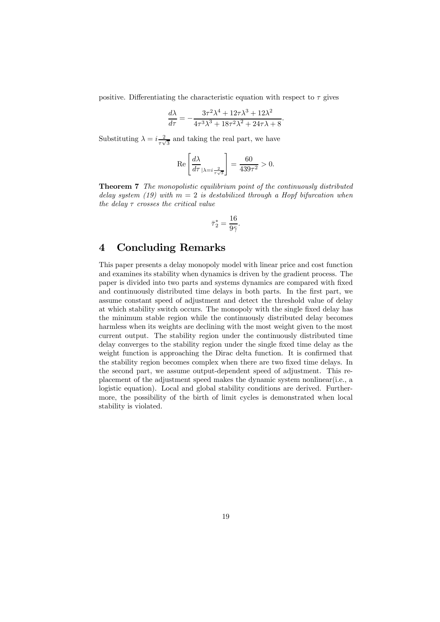positive. Differentiating the characteristic equation with respect to  $\tau$  gives

$$
\frac{d\lambda}{d\tau} = -\frac{3\tau^2\lambda^4 + 12\tau\lambda^3 + 12\lambda^2}{4\tau^3\lambda^3 + 18\tau^2\lambda^2 + 24\tau\lambda + 8}.
$$

Substituting  $\lambda = i \frac{2}{\tau \sqrt{3}}$  and taking the real part, we have

$$
\operatorname{Re}\left[\frac{d\lambda}{d\tau}\Big|_{\lambda=i\frac{2}{\tau\sqrt{3}}}\right] = \frac{60}{439\tau^2} > 0.
$$

Theorem 7 The monopolistic equilibrium point of the continuously distributed delay system (19) with  $m = 2$  is destabilized through a Hopf bifurcation when the delay  $\tau$  crosses the critical value

$$
\bar{\tau}_2^* = \frac{16}{9\bar{\gamma}}.
$$

## 4 Concluding Remarks

This paper presents a delay monopoly model with linear price and cost function and examines its stability when dynamics is driven by the gradient process. The paper is divided into two parts and systems dynamics are compared with fixed and continuously distributed time delays in both parts. In the first part, we assume constant speed of adjustment and detect the threshold value of delay at which stability switch occurs. The monopoly with the single fixed delay has the minimum stable region while the continuously distributed delay becomes harmless when its weights are declining with the most weight given to the most current output. The stability region under the continuously distributed time delay converges to the stability region under the single fixed time delay as the weight function is approaching the Dirac delta function. It is confirmed that the stability region becomes complex when there are two fixed time delays. In the second part, we assume output-dependent speed of adjustment. This replacement of the adjustment speed makes the dynamic system nonlinear(i.e., a logistic equation). Local and global stability conditions are derived. Furthermore, the possibility of the birth of limit cycles is demonstrated when local stability is violated.